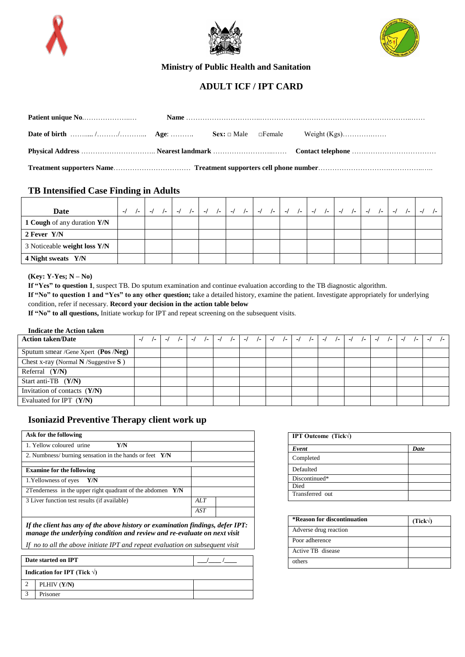





 **Ministry of Public Health and Sanitation**

# **ADULT ICF / IPT CARD**

## **TB Intensified Case Finding in Adults**

| Date                         | $\mathbf{I}$ |  | /-   -/ /-   -/ /-   -/ /-   -/ /-   -/ /-   -/ /-   -/ /-   -/ /-   -/ /-   -/ |  |  |  |  |  |  |  |  | $\sqrt{2}$ |  |
|------------------------------|--------------|--|---------------------------------------------------------------------------------|--|--|--|--|--|--|--|--|------------|--|
| 1 Cough of any duration Y/N  |              |  |                                                                                 |  |  |  |  |  |  |  |  |            |  |
| 2 Fever Y/N                  |              |  |                                                                                 |  |  |  |  |  |  |  |  |            |  |
| 3 Noticeable weight loss Y/N |              |  |                                                                                 |  |  |  |  |  |  |  |  |            |  |
| 4 Night sweats Y/N           |              |  |                                                                                 |  |  |  |  |  |  |  |  |            |  |

### **(Key: Y-Yes; N – No)**

**If "Yes" to question 1**, suspect TB. Do sputum examination and continue evaluation according to the TB diagnostic algorithm.

**If "No" to question 1 and "Yes" to any other question;** take a detailed history, examine the patient. Investigate appropriately for underlying condition, refer if necessary. **Record your decision in the action table below**

**If "No" to all questions,** Initiate workup for IPT and repeat screening on the subsequent visits.

#### **Indicate the Action taken**

| <b>Action taken/Date</b>               | $\sqrt{-}$ | $-I$ |  |  |  |  |  |  |  |  |  | $-1$ | $\sqrt{2}$ |
|----------------------------------------|------------|------|--|--|--|--|--|--|--|--|--|------|------------|
| Sputum smear /Gene Xpert $(Pos/Neg)$   |            |      |  |  |  |  |  |  |  |  |  |      |            |
| Chest x-ray (Normal $N$ /Suggestive S) |            |      |  |  |  |  |  |  |  |  |  |      |            |
| Referral $(Y/N)$                       |            |      |  |  |  |  |  |  |  |  |  |      |            |
| Start anti-TB $(Y/N)$                  |            |      |  |  |  |  |  |  |  |  |  |      |            |
| Invitation of contacts $(Y/N)$         |            |      |  |  |  |  |  |  |  |  |  |      |            |
| Evaluated for IPT $(Y/N)$              |            |      |  |  |  |  |  |  |  |  |  |      |            |

## **Isoniazid Preventive Therapy client work up**

| Ask for the following                                        |     |  |
|--------------------------------------------------------------|-----|--|
| 1. Yellow coloured urine<br>Y/N                              |     |  |
| 2. Numbness/ burning sensation in the hands or feet $Y/N$    |     |  |
|                                                              |     |  |
| <b>Examine for the following</b>                             |     |  |
| 1. Yellowness of eyes<br>Y/N                                 |     |  |
| 2Tenderness in the upper right quadrant of the abdomen $Y/N$ |     |  |
| 3 Liver function test results (if available)                 | ALT |  |
|                                                              | AST |  |

*If the client has any of the above history or examination findings, defer IPT: manage the underlying condition and review and re-evaluate on next visit*

*If no to all the above initiate IPT and repeat evaluation on subsequent visit*

| Date started on IPT                   |  |
|---------------------------------------|--|
| Indication for IPT (Tick $\sqrt{ }$ ) |  |
| PLHIV (Y/N)                           |  |
| Prisoner                              |  |

| <b>IPT Outcome</b> (Tick $\forall$ ) |      |
|--------------------------------------|------|
| Event                                | Date |
| Completed                            |      |
| Defaulted                            |      |
| Discontinued*                        |      |
| Died                                 |      |
| Transferred out                      |      |

| *Reason for discontinuation | (Tick) |
|-----------------------------|--------|
| Adverse drug reaction       |        |
| Poor adherence              |        |
| Active TB disease           |        |
| others                      |        |